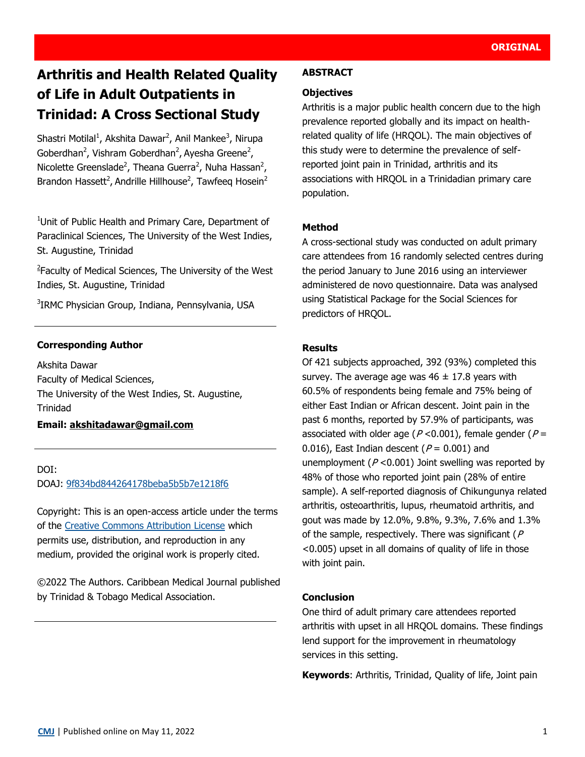# **Arthritis and Health Related Quality of Life in Adult Outpatients in Trinidad: A Cross Sectional Study**

Shastri Motilal<sup>1</sup>, Akshita Dawar<sup>2</sup>, Anil Mankee<sup>3</sup>, Nirupa Goberdhan<sup>2</sup>, Vishram Goberdhan<sup>2</sup>, Ayesha Greene<sup>2</sup>, Nicolette Greenslade<sup>2</sup>, Theana Guerra<sup>2</sup>, Nuha Hassan<sup>2</sup>, Brandon Hassett<sup>2</sup>, Andrille Hillhouse<sup>2</sup>, Tawfeeq Hosein<sup>2</sup>

<sup>1</sup>Unit of Public Health and Primary Care, Department of Paraclinical Sciences, The University of the West Indies, St. Augustine, Trinidad

<sup>2</sup> Faculty of Medical Sciences, The University of the West Indies, St. Augustine, Trinidad

<sup>3</sup>IRMC Physician Group, Indiana, Pennsylvania, USA

## **Corresponding Author**

Akshita Dawar Faculty of Medical Sciences, The University of the West Indies, St. Augustine, Trinidad

## **Email: [akshitadawar@gmail.com](mailto:akshitadawar@gmail.com)**

### DOI:

DOAJ: [9f834bd844264178beba5b5b7e1218f6](https://doaj.org/article/9f834bd844264178beba5b5b7e1218f6)

Copyright: This is an open-access article under the terms of the [Creative Commons Attribution License](https://creativecommons.org/licenses/by/4.0/) which permits use, distribution, and reproduction in any medium, provided the original work is properly cited.

©2022 The Authors. Caribbean Medical Journal published by Trinidad & Tobago Medical Association.

#### **ABSTRACT**

#### **Objectives**

Arthritis is a major public health concern due to the high prevalence reported globally and its impact on healthrelated quality of life (HRQOL). The main objectives of this study were to determine the prevalence of selfreported joint pain in Trinidad, arthritis and its associations with HRQOL in a Trinidadian primary care population.

### **Method**

A cross-sectional study was conducted on adult primary care attendees from 16 randomly selected centres during the period January to June 2016 using an interviewer administered de novo questionnaire. Data was analysed using Statistical Package for the Social Sciences for predictors of HRQOL.

### **Results**

Of 421 subjects approached, 392 (93%) completed this survey. The average age was  $46 \pm 17.8$  years with 60.5% of respondents being female and 75% being of either East Indian or African descent. Joint pain in the past 6 months, reported by 57.9% of participants, was associated with older age ( $P < 0.001$ ), female gender ( $P =$ 0.016), East Indian descent ( $P = 0.001$ ) and unemployment ( $P < 0.001$ ) Joint swelling was reported by 48% of those who reported joint pain (28% of entire sample). A self-reported diagnosis of Chikungunya related arthritis, osteoarthritis, lupus, rheumatoid arthritis, and gout was made by 12.0%, 9.8%, 9.3%, 7.6% and 1.3% of the sample, respectively. There was significant ( $P$ <0.005) upset in all domains of quality of life in those with joint pain.

### **Conclusion**

One third of adult primary care attendees reported arthritis with upset in all HRQOL domains. These findings lend support for the improvement in rheumatology services in this setting.

**Keywords**: Arthritis, Trinidad, Quality of life, Joint pain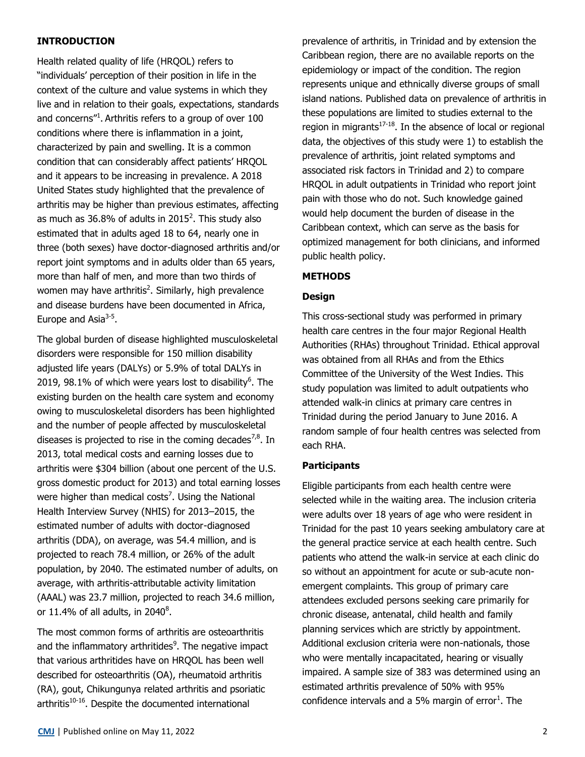## **INTRODUCTION**

Health related quality of life (HRQOL) refers to "individuals' perception of their position in life in the context of the culture and value systems in which they live and in relation to their goals, expectations, standards and concerns"<sup>1</sup>. Arthritis refers to a group of over 100 conditions where there is inflammation in a joint, characterized by pain and swelling. It is a common condition that can considerably affect patients' HRQOL and it appears to be increasing in prevalence. A 2018 United States study highlighted that the prevalence of arthritis may be higher than previous estimates, affecting as much as 36.8% of adults in 2015<sup>2</sup>. This study also estimated that in adults aged 18 to 64, nearly one in three (both sexes) have doctor-diagnosed arthritis and/or report joint symptoms and in adults older than 65 years, more than half of men, and more than two thirds of women may have arthritis<sup>2</sup>. Similarly, high prevalence and disease burdens have been documented in Africa, Europe and Asia<sup>3-5</sup>.

The global burden of disease highlighted musculoskeletal disorders were responsible for 150 million disability adjusted life years (DALYs) or 5.9% of total DALYs in 2019, 98.1% of which were years lost to disability $6$ . The existing burden on the health care system and economy owing to musculoskeletal disorders has been highlighted and the number of people affected by musculoskeletal diseases is projected to rise in the coming decades<sup>7,8</sup>. In 2013, total medical costs and earning losses due to arthritis were \$304 billion (about one percent of the U.S. gross domestic product for 2013) and total earning losses were higher than medical costs<sup>7</sup>. Using the National Health Interview Survey (NHIS) for 2013–2015, the estimated number of adults with doctor-diagnosed arthritis (DDA), on average, was 54.4 million, and is projected to reach 78.4 million, or 26% of the adult population, by 2040. The estimated number of adults, on average, with arthritis-attributable activity limitation (AAAL) was 23.7 million, projected to reach 34.6 million, or 11.4% of all adults, in 2040 $^8$ .

The most common forms of arthritis are osteoarthritis and the inflammatory arthritides<sup>9</sup>. The negative impact that various arthritides have on HRQOL has been well described for osteoarthritis (OA), rheumatoid arthritis (RA), gout, Chikungunya related arthritis and psoriatic arthritis $10^{-16}$ . Despite the documented international

prevalence of arthritis, in Trinidad and by extension the Caribbean region, there are no available reports on the epidemiology or impact of the condition. The region represents unique and ethnically diverse groups of small island nations. Published data on prevalence of arthritis in these populations are limited to studies external to the region in migrants $17-18$ . In the absence of local or regional data, the objectives of this study were 1) to establish the prevalence of arthritis, joint related symptoms and associated risk factors in Trinidad and 2) to compare HRQOL in adult outpatients in Trinidad who report joint pain with those who do not. Such knowledge gained would help document the burden of disease in the Caribbean context, which can serve as the basis for optimized management for both clinicians, and informed public health policy.

## **METHODS**

## **Design**

This cross-sectional study was performed in primary health care centres in the four major Regional Health Authorities (RHAs) throughout Trinidad. Ethical approval was obtained from all RHAs and from the Ethics Committee of the University of the West Indies. This study population was limited to adult outpatients who attended walk-in clinics at primary care centres in Trinidad during the period January to June 2016. A random sample of four health centres was selected from each RHA.

## **Participants**

Eligible participants from each health centre were selected while in the waiting area. The inclusion criteria were adults over 18 years of age who were resident in Trinidad for the past 10 years seeking ambulatory care at the general practice service at each health centre. Such patients who attend the walk-in service at each clinic do so without an appointment for acute or sub-acute nonemergent complaints. This group of primary care attendees excluded persons seeking care primarily for chronic disease, antenatal, child health and family planning services which are strictly by appointment. Additional exclusion criteria were non-nationals, those who were mentally incapacitated, hearing or visually impaired. A sample size of 383 was determined using an estimated arthritis prevalence of 50% with 95% confidence intervals and a 5% margin of  $error<sup>1</sup>$ . The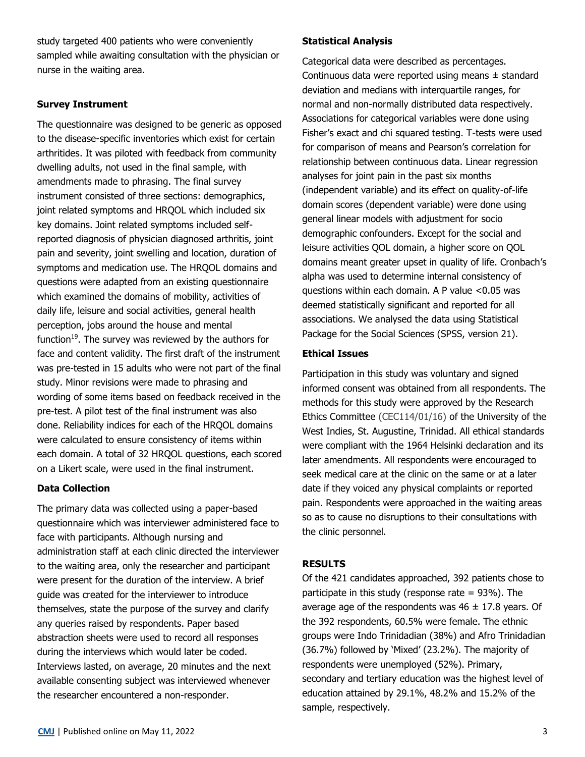study targeted 400 patients who were conveniently sampled while awaiting consultation with the physician or nurse in the waiting area.

## **Survey Instrument**

The questionnaire was designed to be generic as opposed to the disease-specific inventories which exist for certain arthritides. It was piloted with feedback from community dwelling adults, not used in the final sample, with amendments made to phrasing. The final survey instrument consisted of three sections: demographics, joint related symptoms and HRQOL which included six key domains. Joint related symptoms included selfreported diagnosis of physician diagnosed arthritis, joint pain and severity, joint swelling and location, duration of symptoms and medication use. The HRQOL domains and questions were adapted from an existing questionnaire which examined the domains of mobility, activities of daily life, leisure and social activities, general health perception, jobs around the house and mental function<sup>19</sup>. The survey was reviewed by the authors for face and content validity. The first draft of the instrument was pre-tested in 15 adults who were not part of the final study. Minor revisions were made to phrasing and wording of some items based on feedback received in the pre-test. A pilot test of the final instrument was also done. Reliability indices for each of the HRQOL domains were calculated to ensure consistency of items within each domain. A total of 32 HRQOL questions, each scored on a Likert scale, were used in the final instrument.

## **Data Collection**

The primary data was collected using a paper-based questionnaire which was interviewer administered face to face with participants. Although nursing and administration staff at each clinic directed the interviewer to the waiting area, only the researcher and participant were present for the duration of the interview. A brief guide was created for the interviewer to introduce themselves, state the purpose of the survey and clarify any queries raised by respondents. Paper based abstraction sheets were used to record all responses during the interviews which would later be coded. Interviews lasted, on average, 20 minutes and the next available consenting subject was interviewed whenever the researcher encountered a non-responder.

Categorical data were described as percentages. Continuous data were reported using means  $\pm$  standard deviation and medians with interquartile ranges, for normal and non-normally distributed data respectively. Associations for categorical variables were done using Fisher's exact and chi squared testing. T-tests were used for comparison of means and Pearson's correlation for relationship between continuous data. Linear regression analyses for joint pain in the past six months (independent variable) and its effect on quality-of-life domain scores (dependent variable) were done using general linear models with adjustment for socio demographic confounders. Except for the social and leisure activities QOL domain, a higher score on QOL domains meant greater upset in quality of life. Cronbach's alpha was used to determine internal consistency of questions within each domain. A P value <0.05 was deemed statistically significant and reported for all associations. We analysed the data using Statistical Package for the Social Sciences (SPSS, version 21).

## **Ethical Issues**

Participation in this study was voluntary and signed informed consent was obtained from all respondents. The methods for this study were approved by the Research Ethics Committee (CEC114/01/16) of the University of the West Indies, St. Augustine, Trinidad. All ethical standards were compliant with the 1964 Helsinki declaration and its later amendments. All respondents were encouraged to seek medical care at the clinic on the same or at a later date if they voiced any physical complaints or reported pain. Respondents were approached in the waiting areas so as to cause no disruptions to their consultations with the clinic personnel.

## **RESULTS**

Of the 421 candidates approached, 392 patients chose to participate in this study (response rate  $= 93\%$ ). The average age of the respondents was  $46 \pm 17.8$  years. Of the 392 respondents, 60.5% were female. The ethnic groups were Indo Trinidadian (38%) and Afro Trinidadian (36.7%) followed by 'Mixed' (23.2%). The majority of respondents were unemployed (52%). Primary, secondary and tertiary education was the highest level of education attained by 29.1%, 48.2% and 15.2% of the sample, respectively.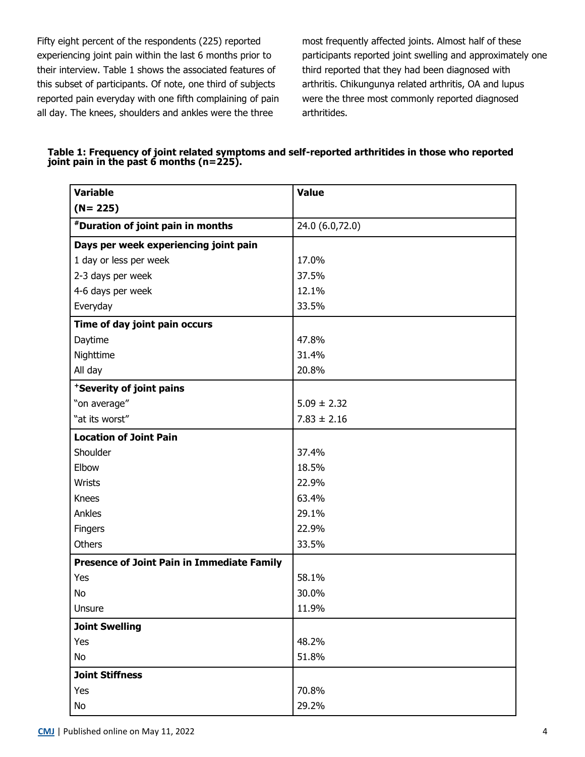Fifty eight percent of the respondents (225) reported experiencing joint pain within the last 6 months prior to their interview. Table 1 shows the associated features of this subset of participants. Of note, one third of subjects reported pain everyday with one fifth complaining of pain all day. The knees, shoulders and ankles were the three

most frequently affected joints. Almost half of these participants reported joint swelling and approximately one third reported that they had been diagnosed with arthritis. Chikungunya related arthritis, OA and lupus were the three most commonly reported diagnosed arthritides.

| Table 1: Frequency of joint related symptoms and self-reported arthritides in those who reported |  |
|--------------------------------------------------------------------------------------------------|--|
| joint pain in the past $\ddot{\text{o}}$ months (n=225).                                         |  |

| <b>Variable</b>                                   | <b>Value</b>    |
|---------------------------------------------------|-----------------|
| $(N = 225)$                                       |                 |
| *Duration of joint pain in months                 | 24.0 (6.0,72.0) |
| Days per week experiencing joint pain             |                 |
| 1 day or less per week                            | 17.0%           |
| 2-3 days per week                                 | 37.5%           |
| 4-6 days per week                                 | 12.1%           |
| Everyday                                          | 33.5%           |
| Time of day joint pain occurs                     |                 |
| Daytime                                           | 47.8%           |
| Nighttime                                         | 31.4%           |
| All day                                           | 20.8%           |
| *Severity of joint pains                          |                 |
| "on average"                                      | $5.09 \pm 2.32$ |
| "at its worst"                                    | $7.83 \pm 2.16$ |
| <b>Location of Joint Pain</b>                     |                 |
| Shoulder                                          | 37.4%           |
| Elbow                                             | 18.5%           |
| Wrists                                            | 22.9%           |
| <b>Knees</b>                                      | 63.4%           |
| Ankles                                            | 29.1%           |
| Fingers                                           | 22.9%           |
| Others                                            | 33.5%           |
| <b>Presence of Joint Pain in Immediate Family</b> |                 |
| Yes                                               | 58.1%           |
| No                                                | 30.0%           |
| Unsure                                            | 11.9%           |
| <b>Joint Swelling</b>                             |                 |
| Yes                                               | 48.2%           |
| No                                                | 51.8%           |
| <b>Joint Stiffness</b>                            |                 |
| Yes                                               | 70.8%           |
| No                                                | 29.2%           |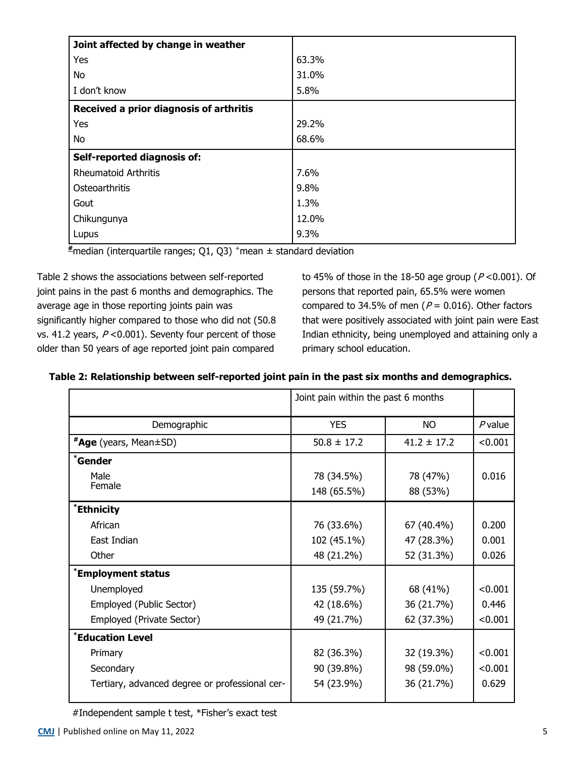| Joint affected by change in weather     |       |
|-----------------------------------------|-------|
| Yes                                     | 63.3% |
| No                                      | 31.0% |
| I don't know                            | 5.8%  |
| Received a prior diagnosis of arthritis |       |
| Yes                                     | 29.2% |
| No                                      | 68.6% |
| Self-reported diagnosis of:             |       |
| <b>Rheumatoid Arthritis</b>             | 7.6%  |
| Osteoarthritis                          | 9.8%  |
| Gout                                    | 1.3%  |
| Chikungunya                             | 12.0% |
| Lupus                                   | 9.3%  |

 $\frac{1}{4}$  median (interquartile ranges; Q1, Q3)<sup>+</sup> mean  $\pm$  standard deviation

Table 2 shows the associations between self-reported joint pains in the past 6 months and demographics. The average age in those reporting joints pain was significantly higher compared to those who did not (50.8 vs. 41.2 years,  $P < 0.001$ ). Seventy four percent of those older than 50 years of age reported joint pain compared

to 45% of those in the 18-50 age group ( $P < 0.001$ ). Of persons that reported pain, 65.5% were women compared to 34.5% of men ( $P = 0.016$ ). Other factors that were positively associated with joint pain were East Indian ethnicity, being unemployed and attaining only a primary school education.

| Table 2: Relationship between self-reported joint pain in the past six months and demographics. |  |  |  |  |
|-------------------------------------------------------------------------------------------------|--|--|--|--|
|-------------------------------------------------------------------------------------------------|--|--|--|--|

|                                                | Joint pain within the past 6 months |                 |           |
|------------------------------------------------|-------------------------------------|-----------------|-----------|
| Demographic                                    | <b>YES</b>                          | <b>NO</b>       | $P$ value |
| <b>*Age</b> (years, Mean±SD)                   | $50.8 \pm 17.2$                     | $41.2 \pm 17.2$ | < 0.001   |
| <i><b>*Gender</b></i>                          |                                     |                 |           |
| Male                                           | 78 (34.5%)                          | 78 (47%)        | 0.016     |
| Female                                         | 148 (65.5%)                         | 88 (53%)        |           |
| *Ethnicity                                     |                                     |                 |           |
| African                                        | 76 (33.6%)                          | 67 (40.4%)      | 0.200     |
| East Indian                                    | 102 (45.1%)                         | 47 (28.3%)      | 0.001     |
| Other                                          | 48 (21.2%)                          | 52 (31.3%)      | 0.026     |
| *Employment status                             |                                     |                 |           |
| Unemployed                                     | 135 (59.7%)                         | 68 (41%)        | < 0.001   |
| Employed (Public Sector)                       | 42 (18.6%)                          | 36 (21.7%)      | 0.446     |
| Employed (Private Sector)                      | 49 (21.7%)                          | 62 (37.3%)      | < 0.001   |
| *Education Level                               |                                     |                 |           |
| Primary                                        | 82 (36.3%)                          | 32 (19.3%)      | < 0.001   |
| Secondary                                      | 90 (39.8%)                          | 98 (59.0%)      | < 0.001   |
| Tertiary, advanced degree or professional cer- | 54 (23.9%)                          | 36 (21.7%)      | 0.629     |
|                                                |                                     |                 |           |

#Independent sample t test, \*Fisher's exact test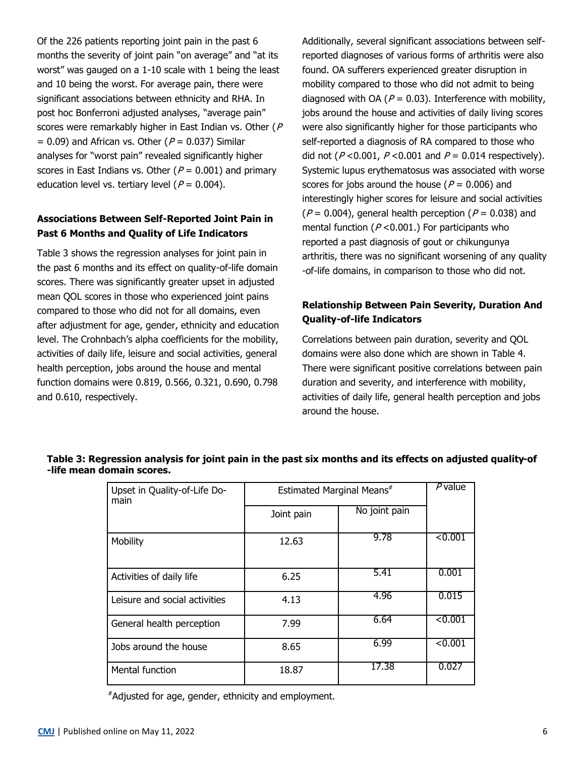Of the 226 patients reporting joint pain in the past 6 months the severity of joint pain "on average" and "at its worst" was gauged on a 1-10 scale with 1 being the least and 10 being the worst. For average pain, there were significant associations between ethnicity and RHA. In post hoc Bonferroni adjusted analyses, "average pain" scores were remarkably higher in East Indian vs. Other (P)  $= 0.09$ ) and African vs. Other ( $P = 0.037$ ) Similar analyses for "worst pain" revealed significantly higher scores in East Indians vs. Other ( $P = 0.001$ ) and primary education level vs. tertiary level ( $P = 0.004$ ).

## **Associations Between Self-Reported Joint Pain in Past 6 Months and Quality of Life Indicators**

Table 3 shows the regression analyses for joint pain in the past 6 months and its effect on quality-of-life domain scores. There was significantly greater upset in adjusted mean QOL scores in those who experienced joint pains compared to those who did not for all domains, even after adjustment for age, gender, ethnicity and education level. The Crohnbach's alpha coefficients for the mobility, activities of daily life, leisure and social activities, general health perception, jobs around the house and mental function domains were 0.819, 0.566, 0.321, 0.690, 0.798 and 0.610, respectively.

Additionally, several significant associations between selfreported diagnoses of various forms of arthritis were also found. OA sufferers experienced greater disruption in mobility compared to those who did not admit to being diagnosed with OA ( $P = 0.03$ ). Interference with mobility, jobs around the house and activities of daily living scores were also significantly higher for those participants who self-reported a diagnosis of RA compared to those who did not ( $P < 0.001$ ,  $P < 0.001$  and  $P = 0.014$  respectively). Systemic lupus erythematosus was associated with worse scores for jobs around the house ( $P = 0.006$ ) and interestingly higher scores for leisure and social activities ( $P = 0.004$ ), general health perception ( $P = 0.038$ ) and mental function ( $P < 0.001$ .) For participants who reported a past diagnosis of gout or chikungunya arthritis, there was no significant worsening of any quality -of-life domains, in comparison to those who did not.

# **Relationship Between Pain Severity, Duration And Quality-of-life Indicators**

Correlations between pain duration, severity and QOL domains were also done which are shown in Table 4. There were significant positive correlations between pain duration and severity, and interference with mobility, activities of daily life, general health perception and jobs around the house.

| Upset in Quality-of-Life Do-<br>main | Estimated Marginal Means# |               | $P$ value |
|--------------------------------------|---------------------------|---------------|-----------|
|                                      | Joint pain                | No joint pain |           |
| Mobility                             | 12.63                     | 9.78          | < 0.001   |
| Activities of daily life             | 6.25                      | 5.41          | 0.001     |
| Leisure and social activities        | 4.13                      | 4.96          | 0.015     |
| General health perception            | 7.99                      | 6.64          | < 0.001   |
| Jobs around the house                | 8.65                      | 6.99          | < 0.001   |
| Mental function                      | 18.87                     | 17.38         | 0.027     |

## **Table 3: Regression analysis for joint pain in the past six months and its effects on adjusted quality-of -life mean domain scores.**

#Adjusted for age, gender, ethnicity and employment.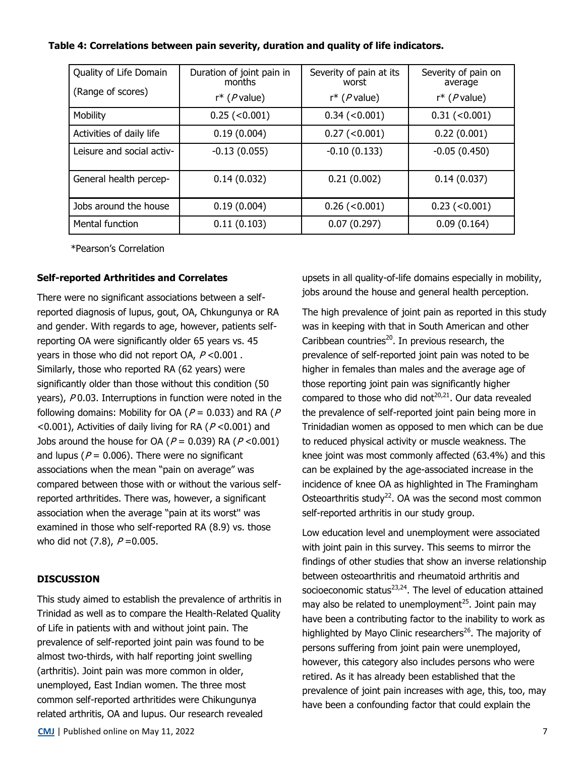## **Table 4: Correlations between pain severity, duration and quality of life indicators.**

| Quality of Life Domain<br>(Range of scores) | Duration of joint pain in<br>months | Severity of pain at its<br>worst | Severity of pain on<br>average |
|---------------------------------------------|-------------------------------------|----------------------------------|--------------------------------|
|                                             | $r^*$ ( <i>P</i> value)             | $r^*$ ( <i>P</i> value)          | $r^*$ ( <i>P</i> value)        |
| Mobility                                    | $0.25$ (<0.001)                     | $0.34$ (<0.001)                  | $0.31$ (<0.001)                |
| Activities of daily life                    | 0.19(0.004)                         | $0.27$ (<0.001)                  | 0.22(0.001)                    |
| Leisure and social activ-                   | $-0.13(0.055)$                      | $-0.10(0.133)$                   | $-0.05(0.450)$                 |
| General health percep-                      | 0.14(0.032)                         | 0.21(0.002)                      | 0.14(0.037)                    |
| Jobs around the house                       | 0.19(0.004)                         | $0.26$ (<0.001)                  | $0.23$ (< $0.001$ )            |
| Mental function                             | 0.11(0.103)                         | 0.07(0.297)                      | 0.09(0.164)                    |

\*Pearson's Correlation

### **Self-reported Arthritides and Correlates**

There were no significant associations between a selfreported diagnosis of lupus, gout, OA, Chkungunya or RA and gender. With regards to age, however, patients selfreporting OA were significantly older 65 years vs. 45 years in those who did not report OA,  $P < 0.001$ . Similarly, those who reported RA (62 years) were significantly older than those without this condition (50 years), P0.03. Interruptions in function were noted in the following domains: Mobility for OA ( $P = 0.033$ ) and RA ( $P = 0.033$ ) <0.001), Activities of daily living for RA ( $P$  <0.001) and Jobs around the house for OA ( $P = 0.039$ ) RA ( $P < 0.001$ ) and lupus ( $P = 0.006$ ). There were no significant associations when the mean "pain on average" was compared between those with or without the various selfreported arthritides. There was, however, a significant association when the average "pain at its worst'' was examined in those who self-reported RA (8.9) vs. those who did not  $(7.8)$ ,  $P = 0.005$ .

### **DISCUSSION**

This study aimed to establish the prevalence of arthritis in Trinidad as well as to compare the Health-Related Quality of Life in patients with and without joint pain. The prevalence of self-reported joint pain was found to be almost two-thirds, with half reporting joint swelling (arthritis). Joint pain was more common in older, unemployed, East Indian women. The three most common self-reported arthritides were Chikungunya related arthritis, OA and lupus. Our research revealed

**[CMJ](http://www.caribbeanmedicaljournal.org)** | Published online on May 11, 2022 **7 7** 

upsets in all quality-of-life domains especially in mobility, jobs around the house and general health perception.

The high prevalence of joint pain as reported in this study was in keeping with that in South American and other Caribbean countries<sup>20</sup>. In previous research, the prevalence of self-reported joint pain was noted to be higher in females than males and the average age of those reporting joint pain was significantly higher compared to those who did not<sup>20,21</sup>. Our data revealed the prevalence of self-reported joint pain being more in Trinidadian women as opposed to men which can be due to reduced physical activity or muscle weakness. The knee joint was most commonly affected (63.4%) and this can be explained by the age-associated increase in the incidence of knee OA as highlighted in The Framingham Osteoarthritis study<sup>22</sup>. OA was the second most common self-reported arthritis in our study group.

Low education level and unemployment were associated with joint pain in this survey. This seems to mirror the findings of other studies that show an inverse relationship between osteoarthritis and rheumatoid arthritis and socioeconomic status<sup>23,24</sup>. The level of education attained may also be related to unemployment<sup>25</sup>. Joint pain may have been a contributing factor to the inability to work as highlighted by Mayo Clinic researchers<sup>26</sup>. The majority of persons suffering from joint pain were unemployed, however, this category also includes persons who were retired. As it has already been established that the prevalence of joint pain increases with age, this, too, may have been a confounding factor that could explain the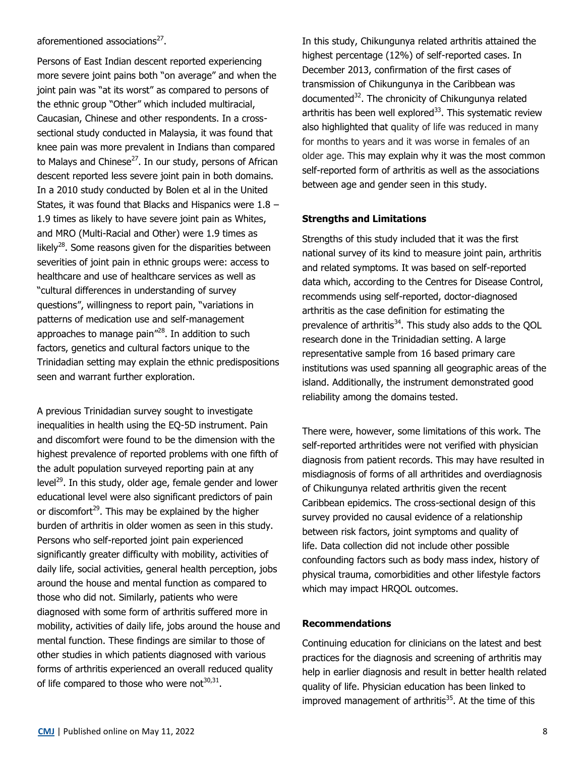## aforementioned associations<sup>27</sup>.

Persons of East Indian descent reported experiencing more severe joint pains both "on average" and when the joint pain was "at its worst" as compared to persons of the ethnic group "Other" which included multiracial, Caucasian, Chinese and other respondents. In a crosssectional study conducted in Malaysia, it was found that knee pain was more prevalent in Indians than compared to Malays and Chinese<sup>27</sup>. In our study, persons of African descent reported less severe joint pain in both domains. In a 2010 study conducted by Bolen et al in the United States, it was found that Blacks and Hispanics were  $1.8 -$ 1.9 times as likely to have severe joint pain as Whites, and MRO (Multi-Racial and Other) were 1.9 times as likely<sup>28</sup>. Some reasons given for the disparities between severities of joint pain in ethnic groups were: access to healthcare and use of healthcare services as well as "cultural differences in understanding of survey questions", willingness to report pain, "variations in patterns of medication use and self-management approaches to manage pain"<sup>28</sup>. In addition to such factors, genetics and cultural factors unique to the Trinidadian setting may explain the ethnic predispositions seen and warrant further exploration.

A previous Trinidadian survey sought to investigate inequalities in health using the EQ-5D instrument. Pain and discomfort were found to be the dimension with the highest prevalence of reported problems with one fifth of the adult population surveyed reporting pain at any level $^{29}$ . In this study, older age, female gender and lower educational level were also significant predictors of pain or discomfort<sup>29</sup>. This may be explained by the higher burden of arthritis in older women as seen in this study. Persons who self-reported joint pain experienced significantly greater difficulty with mobility, activities of daily life, social activities, general health perception, jobs around the house and mental function as compared to those who did not. Similarly, patients who were diagnosed with some form of arthritis suffered more in mobility, activities of daily life, jobs around the house and mental function. These findings are similar to those of other studies in which patients diagnosed with various forms of arthritis experienced an overall reduced quality of life compared to those who were not $^{30,31}$ .

In this study, Chikungunya related arthritis attained the highest percentage (12%) of self-reported cases. In December 2013, confirmation of the first cases of transmission of Chikungunya in the Caribbean was documented<sup>32</sup>. The chronicity of Chikungunya related arthritis has been well explored $33$ . This systematic review also highlighted that quality of life was reduced in many for months to years and it was worse in females of an older age. This may explain why it was the most common self-reported form of arthritis as well as the associations between age and gender seen in this study.

## **Strengths and Limitations**

Strengths of this study included that it was the first national survey of its kind to measure joint pain, arthritis and related symptoms. It was based on self-reported data which, according to the Centres for Disease Control, recommends using self-reported, doctor-diagnosed arthritis as the case definition for estimating the prevalence of arthritis<sup>34</sup>. This study also adds to the OOL research done in the Trinidadian setting. A large representative sample from 16 based primary care institutions was used spanning all geographic areas of the island. Additionally, the instrument demonstrated good reliability among the domains tested.

There were, however, some limitations of this work. The self-reported arthritides were not verified with physician diagnosis from patient records. This may have resulted in misdiagnosis of forms of all arthritides and overdiagnosis of Chikungunya related arthritis given the recent Caribbean epidemics. The cross-sectional design of this survey provided no causal evidence of a relationship between risk factors, joint symptoms and quality of life. Data collection did not include other possible confounding factors such as body mass index, history of physical trauma, comorbidities and other lifestyle factors which may impact HRQOL outcomes.

## **Recommendations**

Continuing education for clinicians on the latest and best practices for the diagnosis and screening of arthritis may help in earlier diagnosis and result in better health related quality of life. Physician education has been linked to improved management of arthritis<sup>35</sup>. At the time of this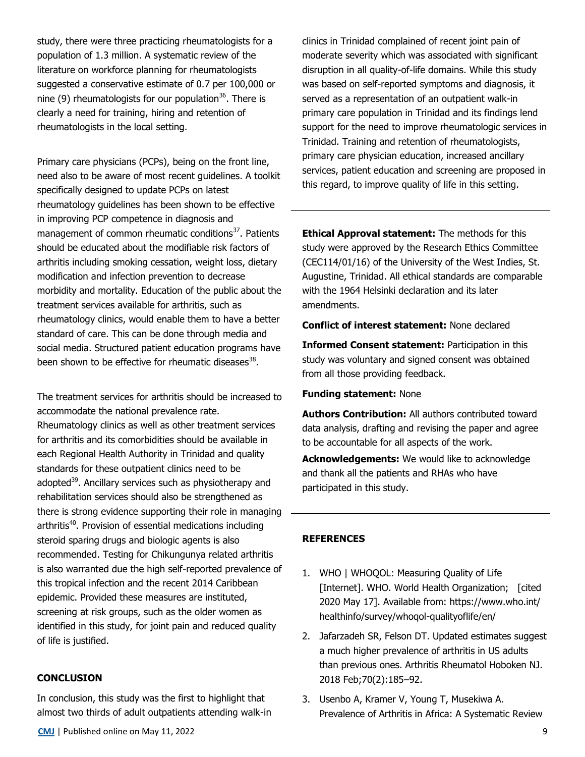study, there were three practicing rheumatologists for a population of 1.3 million. A systematic review of the literature on workforce planning for rheumatologists suggested a conservative estimate of 0.7 per 100,000 or nine (9) rheumatologists for our population<sup>36</sup>. There is clearly a need for training, hiring and retention of rheumatologists in the local setting.

Primary care physicians (PCPs), being on the front line, need also to be aware of most recent guidelines. A toolkit specifically designed to update PCPs on latest rheumatology guidelines has been shown to be effective in improving PCP competence in diagnosis and management of common rheumatic conditions<sup>37</sup>. Patients should be educated about the modifiable risk factors of arthritis including smoking cessation, weight loss, dietary modification and infection prevention to decrease morbidity and mortality. Education of the public about the treatment services available for arthritis, such as rheumatology clinics, would enable them to have a better standard of care. This can be done through media and social media. Structured patient education programs have been shown to be effective for rheumatic diseases<sup>38</sup>.

The treatment services for arthritis should be increased to accommodate the national prevalence rate. Rheumatology clinics as well as other treatment services for arthritis and its comorbidities should be available in each Regional Health Authority in Trinidad and quality standards for these outpatient clinics need to be adopted<sup>39</sup>. Ancillary services such as physiotherapy and rehabilitation services should also be strengthened as there is strong evidence supporting their role in managing arthritis<sup>40</sup>. Provision of essential medications including steroid sparing drugs and biologic agents is also recommended. Testing for Chikungunya related arthritis is also warranted due the high self-reported prevalence of this tropical infection and the recent 2014 Caribbean epidemic. Provided these measures are instituted, screening at risk groups, such as the older women as identified in this study, for joint pain and reduced quality of life is justified.

#### **CONCLUSION**

In conclusion, this study was the first to highlight that almost two thirds of adult outpatients attending walk-in clinics in Trinidad complained of recent joint pain of moderate severity which was associated with significant disruption in all quality-of-life domains. While this study was based on self-reported symptoms and diagnosis, it served as a representation of an outpatient walk-in primary care population in Trinidad and its findings lend support for the need to improve rheumatologic services in Trinidad. Training and retention of rheumatologists, primary care physician education, increased ancillary services, patient education and screening are proposed in this regard, to improve quality of life in this setting.

**Ethical Approval statement:** The methods for this study were approved by the Research Ethics Committee (CEC114/01/16) of the University of the West Indies, St. Augustine, Trinidad. All ethical standards are comparable with the 1964 Helsinki declaration and its later amendments.

### **Conflict of interest statement:** None declared

**Informed Consent statement:** Participation in this study was voluntary and signed consent was obtained from all those providing feedback.

## **Funding statement:** None

**Authors Contribution:** All authors contributed toward data analysis, drafting and revising the paper and agree to be accountable for all aspects of the work.

**Acknowledgements:** We would like to acknowledge and thank all the patients and RHAs who have participated in this study.

#### **REFERENCES**

- 1. WHO | WHOQOL: Measuring Quality of Life [Internet]. WHO. World Health Organization; [cited 2020 May 17]. Available from: [https://www.who.int/](https://www.who.int/healthinfo/survey/whoqol-qualityoflife/en/) [healthinfo/survey/whoqol](https://www.who.int/healthinfo/survey/whoqol-qualityoflife/en/)-qualityoflife/en/
- 2. Jafarzadeh SR, Felson DT. Updated estimates suggest a much higher prevalence of arthritis in US adults than previous ones. Arthritis Rheumatol Hoboken NJ. 2018 Feb;70(2):185–92.
- 3. Usenbo A, Kramer V, Young T, Musekiwa A. Prevalence of Arthritis in Africa: A Systematic Review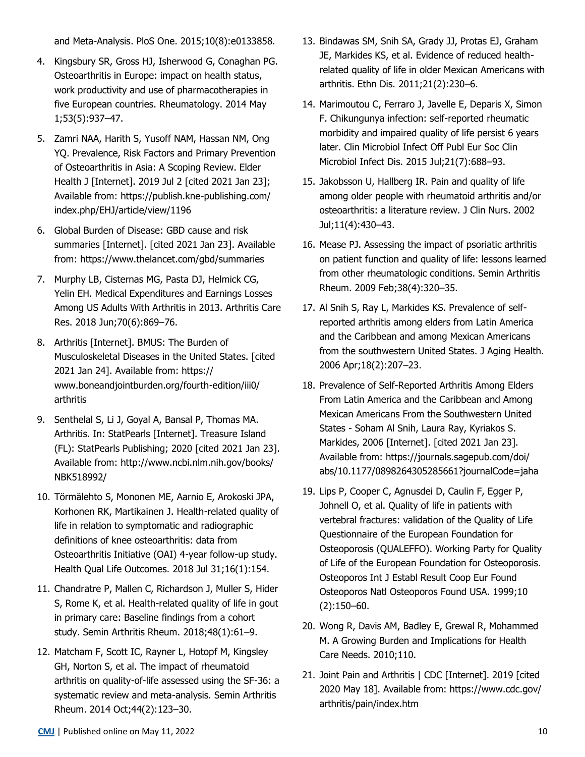and Meta-Analysis. PloS One. 2015;10(8):e0133858.

- 4. Kingsbury SR, Gross HJ, Isherwood G, Conaghan PG. Osteoarthritis in Europe: impact on health status, work productivity and use of pharmacotherapies in five European countries. Rheumatology. 2014 May 1;53(5):937–47.
- 5. Zamri NAA, Harith S, Yusoff NAM, Hassan NM, Ong YQ. Prevalence, Risk Factors and Primary Prevention of Osteoarthritis in Asia: A Scoping Review. Elder Health J [Internet]. 2019 Jul 2 [cited 2021 Jan 23]; Available from: https://publish.kne-publishing.com/ index.php/EHJ/article/view/1196
- 6. Global Burden of Disease: GBD cause and risk summaries [Internet]. [cited 2021 Jan 23]. Available from:<https://www.thelancet.com/gbd/summaries>
- 7. Murphy LB, Cisternas MG, Pasta DJ, Helmick CG, Yelin EH. Medical Expenditures and Earnings Losses Among US Adults With Arthritis in 2013. Arthritis Care Res. 2018 Jun;70(6):869–76.
- 8. Arthritis [Internet]. BMUS: The Burden of Musculoskeletal Diseases in the United States. [cited 2021 Jan 24]. Available from: https:// www.boneandjointburden.org/fourth-edition/iii0/ arthritis
- 9. Senthelal S, Li J, Goyal A, Bansal P, Thomas MA. Arthritis. In: StatPearls [Internet]. Treasure Island (FL): StatPearls Publishing; 2020 [cited 2021 Jan 23]. Available from: http://www.ncbi.nlm.nih.gov/books/ NBK518992/
- 10. Törmälehto S, Mononen ME, Aarnio E, Arokoski JPA, Korhonen RK, Martikainen J. Health-related quality of life in relation to symptomatic and radiographic definitions of knee osteoarthritis: data from Osteoarthritis Initiative (OAI) 4-year follow-up study. Health Qual Life Outcomes. 2018 Jul 31;16(1):154.
- 11. Chandratre P, Mallen C, Richardson J, Muller S, Hider S, Rome K, et al. Health-related quality of life in gout in primary care: Baseline findings from a cohort study. Semin Arthritis Rheum. 2018;48(1):61–9.
- 12. Matcham F, Scott IC, Rayner L, Hotopf M, Kingsley GH, Norton S, et al. The impact of rheumatoid arthritis on quality-of-life assessed using the SF-36: a systematic review and meta-analysis. Semin Arthritis Rheum. 2014 Oct;44(2):123–30.
- 13. Bindawas SM, Snih SA, Grady JJ, Protas EJ, Graham JE, Markides KS, et al. Evidence of reduced healthrelated quality of life in older Mexican Americans with arthritis. Ethn Dis. 2011;21(2):230–6.
- 14. Marimoutou C, Ferraro J, Javelle E, Deparis X, Simon F. Chikungunya infection: self-reported rheumatic morbidity and impaired quality of life persist 6 years later. Clin Microbiol Infect Off Publ Eur Soc Clin Microbiol Infect Dis. 2015 Jul;21(7):688–93.
- 15. Jakobsson U, Hallberg IR. Pain and quality of life among older people with rheumatoid arthritis and/or osteoarthritis: a literature review. J Clin Nurs. 2002 Jul;11(4):430–43.
- 16. Mease PJ. Assessing the impact of psoriatic arthritis on patient function and quality of life: lessons learned from other rheumatologic conditions. Semin Arthritis Rheum. 2009 Feb;38(4):320–35.
- 17. Al Snih S, Ray L, Markides KS. Prevalence of selfreported arthritis among elders from Latin America and the Caribbean and among Mexican Americans from the southwestern United States. J Aging Health. 2006 Apr;18(2):207–23.
- 18. Prevalence of Self-Reported Arthritis Among Elders From Latin America and the Caribbean and Among Mexican Americans From the Southwestern United States - Soham Al Snih, Laura Ray, Kyriakos S. Markides, 2006 [Internet]. [cited 2021 Jan 23]. Available from: https://journals.sagepub.com/doi/ abs/10.1177/0898264305285661?journalCode=jaha
- 19. Lips P, Cooper C, Agnusdei D, Caulin F, Egger P, Johnell O, et al. Quality of life in patients with vertebral fractures: validation of the Quality of Life Questionnaire of the European Foundation for Osteoporosis (QUALEFFO). Working Party for Quality of Life of the European Foundation for Osteoporosis. Osteoporos Int J Establ Result Coop Eur Found Osteoporos Natl Osteoporos Found USA. 1999;10 (2):150–60.
- 20. Wong R, Davis AM, Badley E, Grewal R, Mohammed M. A Growing Burden and Implications for Health Care Needs. 2010;110.
- 21. Joint Pain and Arthritis | CDC [Internet]. 2019 [cited 2020 May 18]. Available from: https://www.cdc.gov/ arthritis/pain/index.htm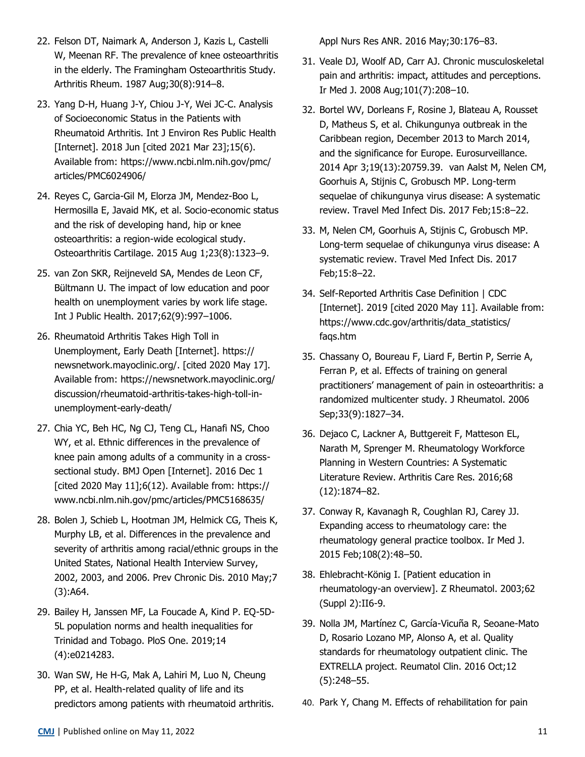- 22. Felson DT, Naimark A, Anderson J, Kazis L, Castelli W, Meenan RF. The prevalence of knee osteoarthritis in the elderly. The Framingham Osteoarthritis Study. Arthritis Rheum. 1987 Aug;30(8):914–8.
- 23. Yang D-H, Huang J-Y, Chiou J-Y, Wei JC-C. Analysis of Socioeconomic Status in the Patients with Rheumatoid Arthritis. Int J Environ Res Public Health [Internet]. 2018 Jun [cited 2021 Mar 23];15(6). Available from: https://www.ncbi.nlm.nih.gov/pmc/ articles/PMC6024906/
- 24. Reyes C, Garcia-Gil M, Elorza JM, Mendez-Boo L, Hermosilla E, Javaid MK, et al. Socio-economic status and the risk of developing hand, hip or knee osteoarthritis: a region-wide ecological study. Osteoarthritis Cartilage. 2015 Aug 1;23(8):1323–9.
- 25. van Zon SKR, Reijneveld SA, Mendes de Leon CF, Bültmann U. The impact of low education and poor health on unemployment varies by work life stage. Int J Public Health. 2017;62(9):997–1006.
- 26. Rheumatoid Arthritis Takes High Toll in Unemployment, Early Death [Internet]. https:// newsnetwork.mayoclinic.org/. [cited 2020 May 17]. Available from: https://newsnetwork.mayoclinic.org/ discussion/rheumatoid-arthritis-takes-high-toll-inunemployment-early-death/
- 27. Chia YC, Beh HC, Ng CJ, Teng CL, Hanafi NS, Choo WY, et al. Ethnic differences in the prevalence of knee pain among adults of a community in a crosssectional study. BMJ Open [Internet]. 2016 Dec 1 [cited 2020 May 11];6(12). Available from: https:// www.ncbi.nlm.nih.gov/pmc/articles/PMC5168635/
- 28. Bolen J, Schieb L, Hootman JM, Helmick CG, Theis K, Murphy LB, et al. Differences in the prevalence and severity of arthritis among racial/ethnic groups in the United States, National Health Interview Survey, 2002, 2003, and 2006. Prev Chronic Dis. 2010 May;7 (3):A64.
- 29. Bailey H, Janssen MF, La Foucade A, Kind P. EQ-5D-5L population norms and health inequalities for Trinidad and Tobago. PloS One. 2019;14 (4):e0214283.
- 30. Wan SW, He H-G, Mak A, Lahiri M, Luo N, Cheung PP, et al. Health-related quality of life and its predictors among patients with rheumatoid arthritis.

Appl Nurs Res ANR. 2016 May;30:176–83.

- 31. Veale DJ, Woolf AD, Carr AJ. Chronic musculoskeletal pain and arthritis: impact, attitudes and perceptions. Ir Med J. 2008 Aug;101(7):208–10.
- 32. Bortel WV, Dorleans F, Rosine J, Blateau A, Rousset D, Matheus S, et al. Chikungunya outbreak in the Caribbean region, December 2013 to March 2014, and the significance for Europe. Eurosurveillance. 2014 Apr 3;19(13):20759.39. van Aalst M, Nelen CM, Goorhuis A, Stijnis C, Grobusch MP. Long-term sequelae of chikungunya virus disease: A systematic review. Travel Med Infect Dis. 2017 Feb;15:8–22.
- 33. M, Nelen CM, Goorhuis A, Stijnis C, Grobusch MP. Long-term sequelae of chikungunya virus disease: A systematic review. Travel Med Infect Dis. 2017 Feb;15:8–22.
- 34. Self-Reported Arthritis Case Definition | CDC [Internet]. 2019 [cited 2020 May 11]. Available from: https://www.cdc.gov/arthritis/data\_statistics/ faqs.htm
- 35. Chassany O, Boureau F, Liard F, Bertin P, Serrie A, Ferran P, et al. Effects of training on general practitioners' management of pain in osteoarthritis: a randomized multicenter study. J Rheumatol. 2006 Sep;33(9):1827–34.
- 36. Dejaco C, Lackner A, Buttgereit F, Matteson EL, Narath M, Sprenger M. Rheumatology Workforce Planning in Western Countries: A Systematic Literature Review. Arthritis Care Res. 2016;68 (12):1874–82.
- 37. Conway R, Kavanagh R, Coughlan RJ, Carey JJ. Expanding access to rheumatology care: the rheumatology general practice toolbox. Ir Med J. 2015 Feb;108(2):48–50.
- 38. Ehlebracht-König I. [Patient education in rheumatology-an overview]. Z Rheumatol. 2003;62 (Suppl 2):II6-9.
- 39. Nolla JM, Martínez C, García-Vicuña R, Seoane-Mato D, Rosario Lozano MP, Alonso A, et al. Quality standards for rheumatology outpatient clinic. The EXTRELLA project. Reumatol Clin. 2016 Oct;12 (5):248–55.
- 40. Park Y, Chang M. Effects of rehabilitation for pain